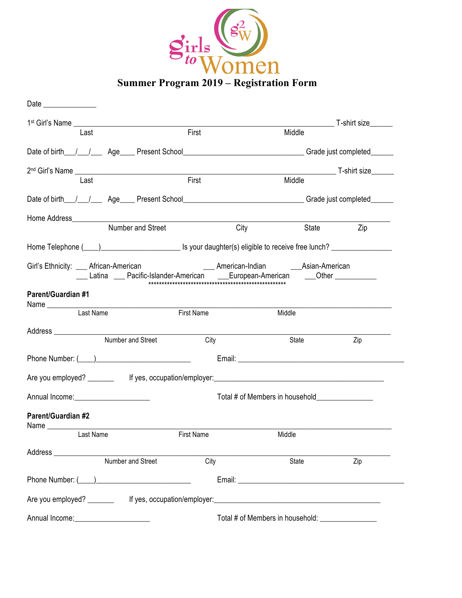

**Summer Program 2019 – Registration Form**

| Date ______________                                                                                                                      |                   |                                                  |              |
|------------------------------------------------------------------------------------------------------------------------------------------|-------------------|--------------------------------------------------|--------------|
|                                                                                                                                          |                   |                                                  |              |
| Last                                                                                                                                     | First             | Middle                                           |              |
|                                                                                                                                          |                   |                                                  |              |
|                                                                                                                                          |                   |                                                  | T-shirt size |
| Last                                                                                                                                     | First             | Middle                                           |              |
| Date of birth__/__/_____ Age____ Present School__________________________________Grade just completed______                              |                   |                                                  |              |
|                                                                                                                                          |                   |                                                  |              |
| Number and Street                                                                                                                        |                   | City                                             | Zip<br>State |
| Home Telephone ( <sub>1,1</sub> ) <u>[20]</u> Is your daughter(s) eligible to receive free lunch? <u>[20]</u> [20] Home Telephone (2022) |                   |                                                  |              |
| Girl's Ethnicity: ____ African-American                                                                                                  |                   | ___ American-Indian ______________Asian-American |              |
| ___ Latina ___ Pacific-Islander-American ____European-American ____Other ___________                                                     |                   |                                                  |              |
| <b>Parent/Guardian #1</b>                                                                                                                |                   |                                                  |              |
| Last Name                                                                                                                                | <b>First Name</b> | Middle                                           |              |
|                                                                                                                                          |                   |                                                  |              |
| Number and Street                                                                                                                        | City              | State                                            | Zip          |
|                                                                                                                                          |                   |                                                  |              |
|                                                                                                                                          |                   |                                                  |              |
|                                                                                                                                          |                   |                                                  |              |
| <b>Parent/Guardian #2</b>                                                                                                                |                   |                                                  |              |
| Last Name                                                                                                                                | <b>First Name</b> | Middle                                           |              |
|                                                                                                                                          |                   |                                                  |              |
| Number and Street                                                                                                                        | City              | State                                            | Zip          |
|                                                                                                                                          |                   |                                                  |              |
|                                                                                                                                          |                   |                                                  |              |
| Annual Income: <u>contract and annual</u>                                                                                                |                   |                                                  |              |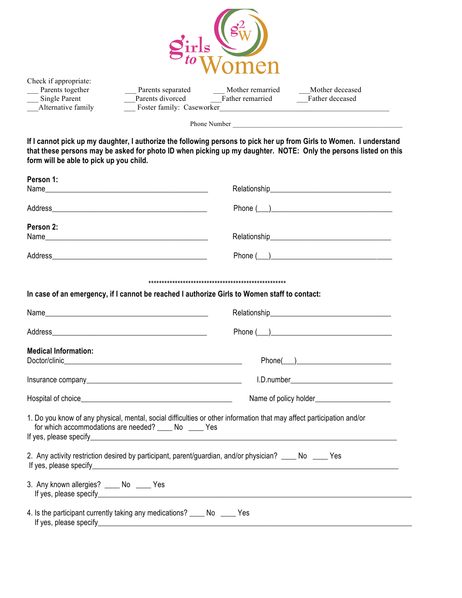

| Check if appropriate: |      |
|-----------------------|------|
| Parents together      | Par  |
| Single Parent         | Pare |
| Alternative family    | Fos  |

rents separated \_\_\_\_\_\_\_\_\_\_\_\_ Mother remarried \_\_\_\_\_\_\_\_\_\_\_Mother deceased ents divorced Father remarried Father deceased ster family: Caseworker\_

Phone Number \_\_\_\_\_\_\_\_\_\_\_\_\_\_\_\_\_\_\_\_\_\_\_\_\_\_\_\_\_\_\_\_\_\_\_\_\_\_\_\_\_\_\_\_\_\_\_\_\_\_

**If I cannot pick up my daughter, I authorize the following persons to pick her up from Girls to Women. I understand that these persons may be asked for photo ID when picking up my daughter. NOTE: Only the persons listed on this form will be able to pick up you child.**

| Person 1:                                                                                                                                                                        |                                                                                                                                                                                                                                                                                                                                                                                                                                                                                                                                    |  |  |
|----------------------------------------------------------------------------------------------------------------------------------------------------------------------------------|------------------------------------------------------------------------------------------------------------------------------------------------------------------------------------------------------------------------------------------------------------------------------------------------------------------------------------------------------------------------------------------------------------------------------------------------------------------------------------------------------------------------------------|--|--|
|                                                                                                                                                                                  |                                                                                                                                                                                                                                                                                                                                                                                                                                                                                                                                    |  |  |
|                                                                                                                                                                                  | $\begin{tabular}{ c c c } \hline \textbf{Phone} {\,\textcolor{red}{\textbf{(\textcolor{blue}{\textbf{1}}\textcolor{blue}{\textbf{1}}\textcolor{blue}{\textbf{1}}\textcolor{blue}{\textbf{1}}\textcolor{blue}{\textbf{1}}\textcolor{blue}{\textbf{1}}\textcolor{blue}{\textbf{1}}\textcolor{blue}{\textbf{1}}\textcolor{blue}{\textbf{1}}\textcolor{blue}{\textbf{1}}\textcolor{blue}{\textbf{1}}\textcolor{blue}{\textbf{1}}\textcolor{blue}{\textbf{1}}\textcolor{blue}{\textbf{1}}\textcolor{blue}{\textbf{1}}\textcolor{blue}{$ |  |  |
| Person 2:                                                                                                                                                                        |                                                                                                                                                                                                                                                                                                                                                                                                                                                                                                                                    |  |  |
|                                                                                                                                                                                  |                                                                                                                                                                                                                                                                                                                                                                                                                                                                                                                                    |  |  |
|                                                                                                                                                                                  |                                                                                                                                                                                                                                                                                                                                                                                                                                                                                                                                    |  |  |
|                                                                                                                                                                                  |                                                                                                                                                                                                                                                                                                                                                                                                                                                                                                                                    |  |  |
| In case of an emergency, if I cannot be reached I authorize Girls to Women staff to contact:                                                                                     |                                                                                                                                                                                                                                                                                                                                                                                                                                                                                                                                    |  |  |
|                                                                                                                                                                                  |                                                                                                                                                                                                                                                                                                                                                                                                                                                                                                                                    |  |  |
|                                                                                                                                                                                  |                                                                                                                                                                                                                                                                                                                                                                                                                                                                                                                                    |  |  |
| <b>Medical Information:</b>                                                                                                                                                      |                                                                                                                                                                                                                                                                                                                                                                                                                                                                                                                                    |  |  |
|                                                                                                                                                                                  | $Phone(\_)$                                                                                                                                                                                                                                                                                                                                                                                                                                                                                                                        |  |  |
|                                                                                                                                                                                  |                                                                                                                                                                                                                                                                                                                                                                                                                                                                                                                                    |  |  |
|                                                                                                                                                                                  |                                                                                                                                                                                                                                                                                                                                                                                                                                                                                                                                    |  |  |
| 1. Do you know of any physical, mental, social difficulties or other information that may affect participation and/or<br>for which accommodations are needed? _____ No _____ Yes |                                                                                                                                                                                                                                                                                                                                                                                                                                                                                                                                    |  |  |
| 2. Any activity restriction desired by participant, parent/guardian, and/or physician? _____ No _____ Yes                                                                        |                                                                                                                                                                                                                                                                                                                                                                                                                                                                                                                                    |  |  |
| 3. Any known allergies? _____ No _____ Yes                                                                                                                                       |                                                                                                                                                                                                                                                                                                                                                                                                                                                                                                                                    |  |  |
| 4. Is the participant currently taking any medications? _____ No _____ Yes                                                                                                       |                                                                                                                                                                                                                                                                                                                                                                                                                                                                                                                                    |  |  |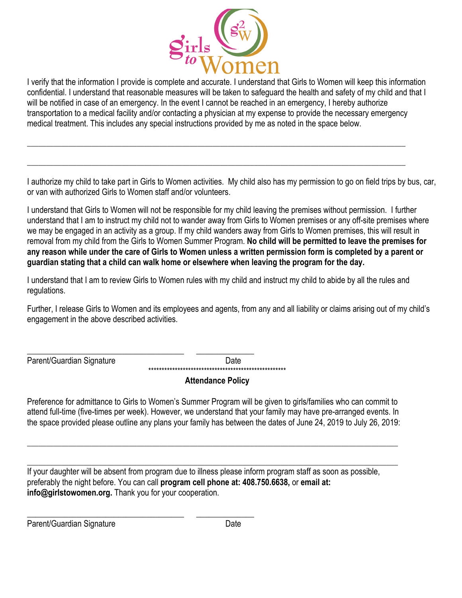

I verify that the information I provide is complete and accurate. I understand that Girls to Women will keep this information confidential. I understand that reasonable measures will be taken to safeguard the health and safety of my child and that I will be notified in case of an emergency. In the event I cannot be reached in an emergency, I hereby authorize transportation to a medical facility and/or contacting a physician at my expense to provide the necessary emergency medical treatment. This includes any special instructions provided by me as noted in the space below.

 $\_$  ,  $\_$  ,  $\_$  ,  $\_$  ,  $\_$  ,  $\_$  ,  $\_$  ,  $\_$  ,  $\_$  ,  $\_$  ,  $\_$  ,  $\_$  ,  $\_$  ,  $\_$  ,  $\_$  ,  $\_$  ,  $\_$  ,  $\_$  ,  $\_$  ,  $\_$  ,  $\_$  ,  $\_$  ,  $\_$  ,  $\_$  ,  $\_$  ,  $\_$  ,  $\_$  ,  $\_$  ,  $\_$  ,  $\_$  ,  $\_$  ,  $\_$  ,  $\_$  ,  $\_$  ,  $\_$  ,  $\_$  ,  $\_$  ,

\_\_\_\_\_\_\_\_\_\_\_\_\_\_\_\_\_\_\_\_\_\_\_\_\_\_\_\_\_\_\_\_\_\_\_\_\_\_\_\_\_\_\_\_\_\_\_\_\_\_\_\_\_\_\_\_\_\_\_\_\_\_\_\_\_\_\_\_\_\_\_\_\_\_\_\_\_\_\_\_\_\_\_\_\_\_\_\_\_\_\_\_\_\_\_\_\_\_\_\_

I authorize my child to take part in Girls to Women activities. My child also has my permission to go on field trips by bus, car, or van with authorized Girls to Women staff and/or volunteers.

I understand that Girls to Women will not be responsible for my child leaving the premises without permission. I further understand that I am to instruct my child not to wander away from Girls to Women premises or any off-site premises where we may be engaged in an activity as a group. If my child wanders away from Girls to Women premises, this will result in removal from my child from the Girls to Women Summer Program. **No child will be permitted to leave the premises for any reason while under the care of Girls to Women unless a written permission form is completed by a parent or guardian stating that a child can walk home or elsewhere when leaving the program for the day.**

I understand that I am to review Girls to Women rules with my child and instruct my child to abide by all the rules and regulations.

Further, I release Girls to Women and its employees and agents, from any and all liability or claims arising out of my child's engagement in the above described activities.

Parent/Guardian Signature Date

\_\_\_\_\_\_\_\_\_\_\_\_\_\_\_\_\_\_\_\_\_\_\_\_\_\_\_\_\_\_\_\_\_\_\_\_\_\_ \_\_\_\_\_\_\_\_\_\_\_\_\_\_ \*\*\*\*\*\*\*\*\*\*\*\*\*\*\*\*\*\*\*\*\*\*\*\*\*\*\*\*\*\*\*\*\*\*\*\*\*\*\*\*\*\*\*\*\*\*\*\*\*\*\*\*

# **Attendance Policy**

Preference for admittance to Girls to Women's Summer Program will be given to girls/families who can commit to attend full-time (five-times per week). However, we understand that your family may have pre-arranged events. In the space provided please outline any plans your family has between the dates of June 24, 2019 to July 26, 2019:

\_\_\_\_\_\_\_\_\_\_\_\_\_\_\_\_\_\_\_\_\_\_\_\_\_\_\_\_\_\_\_\_\_\_\_\_\_\_\_\_\_\_\_\_\_\_\_\_\_\_\_\_\_\_\_\_\_\_\_\_\_\_\_\_\_\_\_\_\_\_\_\_\_\_\_\_\_\_\_\_\_\_\_\_\_\_\_\_\_\_\_\_\_\_\_\_\_\_

\_\_\_\_\_\_\_\_\_\_\_\_\_\_\_\_\_\_\_\_\_\_\_\_\_\_\_\_\_\_\_\_\_\_\_\_\_\_\_\_\_\_\_\_\_\_\_\_\_\_\_\_\_\_\_\_\_\_\_\_\_\_\_\_\_\_\_\_\_\_\_\_\_\_\_\_\_\_\_\_\_\_\_\_\_\_\_\_\_\_\_\_\_\_\_\_\_\_ If your daughter will be absent from program due to illness please inform program staff as soon as possible, preferably the night before. You can call **program cell phone at: 408.750.6638,** or **email at: info@girlstowomen.org.** Thank you for your cooperation.

Parent/Guardian Signature Date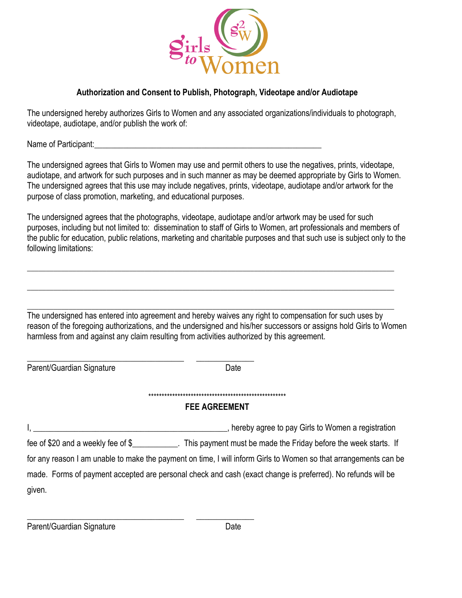

#### **Authorization and Consent to Publish, Photograph, Videotape and/or Audiotape**

The undersigned hereby authorizes Girls to Women and any associated organizations/individuals to photograph, videotape, audiotape, and/or publish the work of:

Name of Participant:

The undersigned agrees that Girls to Women may use and permit others to use the negatives, prints, videotape, audiotape, and artwork for such purposes and in such manner as may be deemed appropriate by Girls to Women. The undersigned agrees that this use may include negatives, prints, videotape, audiotape and/or artwork for the purpose of class promotion, marketing, and educational purposes.

The undersigned agrees that the photographs, videotape, audiotape and/or artwork may be used for such purposes, including but not limited to: dissemination to staff of Girls to Women, art professionals and members of the public for education, public relations, marketing and charitable purposes and that such use is subject only to the following limitations:

 $\_$  ,  $\_$  ,  $\_$  ,  $\_$  ,  $\_$  ,  $\_$  ,  $\_$  ,  $\_$  ,  $\_$  ,  $\_$  ,  $\_$  ,  $\_$  ,  $\_$  ,  $\_$  ,  $\_$  ,  $\_$  ,  $\_$  ,  $\_$  ,  $\_$  ,  $\_$  ,  $\_$  ,  $\_$  ,  $\_$  ,  $\_$  ,  $\_$  ,  $\_$  ,  $\_$  ,  $\_$  ,  $\_$  ,  $\_$  ,  $\_$  ,  $\_$  ,  $\_$  ,  $\_$  ,  $\_$  ,  $\_$  ,  $\_$  ,

\_\_\_\_\_\_\_\_\_\_\_\_\_\_\_\_\_\_\_\_\_\_\_\_\_\_\_\_\_\_\_\_\_\_\_\_\_\_\_\_\_\_\_\_\_\_\_\_\_\_\_\_\_\_\_\_\_\_\_\_\_\_\_\_\_\_\_\_\_\_\_\_\_\_\_\_\_\_\_\_\_\_\_\_\_\_\_\_\_\_\_\_\_\_\_\_\_

\_\_\_\_\_\_\_\_\_\_\_\_\_\_\_\_\_\_\_\_\_\_\_\_\_\_\_\_\_\_\_\_\_\_\_\_\_\_\_\_\_\_\_\_\_\_\_\_\_\_\_\_\_\_\_\_\_\_\_\_\_\_\_\_\_\_\_\_\_\_\_\_\_\_\_\_\_\_\_\_\_\_\_\_\_\_\_\_\_\_\_\_\_\_\_\_\_ The undersigned has entered into agreement and hereby waives any right to compensation for such uses by reason of the foregoing authorizations, and the undersigned and his/her successors or assigns hold Girls to Women harmless from and against any claim resulting from activities authorized by this agreement.

Parent/Guardian Signature Date

\_\_\_\_\_\_\_\_\_\_\_\_\_\_\_\_\_\_\_\_\_\_\_\_\_\_\_\_\_\_\_\_\_\_\_\_\_\_ \_\_\_\_\_\_\_\_\_\_\_\_\_\_

\*\*\*\*\*\*\*\*\*\*\*\*\*\*\*\*\*\*\*\*\*\*\*\*\*\*\*\*\*\*\*\*\*\*\*\*\*\*\*\*\*\*\*\*\*\*\*\*\*\*\*\*

### **FEE AGREEMENT**

I, \_\_\_\_\_\_\_\_\_\_\_\_\_\_\_\_\_\_\_\_\_\_\_\_\_\_\_\_\_\_\_\_\_\_\_\_\_\_\_\_\_\_\_\_\_\_\_, hereby agree to pay Girls to Women a registration fee of \$20 and a weekly fee of \$\_\_\_\_\_\_\_\_\_\_\_. This payment must be made the Friday before the week starts. If for any reason I am unable to make the payment on time, I will inform Girls to Women so that arrangements can be made. Forms of payment accepted are personal check and cash (exact change is preferred). No refunds will be given.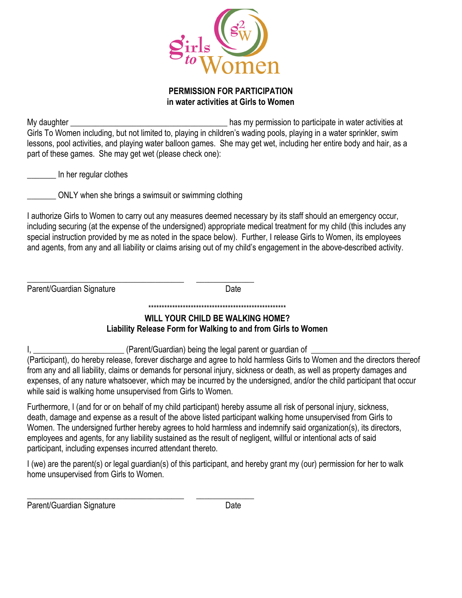

#### **PERMISSION FOR PARTICIPATION in water activities at Girls to Women**

My daughter **Exercise 2** and the same of the same of the same permission to participate in water activities at Girls To Women including, but not limited to, playing in children's wading pools, playing in a water sprinkler, swim lessons, pool activities, and playing water balloon games. She may get wet, including her entire body and hair, as a part of these games. She may get wet (please check one):

\_\_\_\_\_\_\_ In her regular clothes

ONLY when she brings a swimsuit or swimming clothing

I authorize Girls to Women to carry out any measures deemed necessary by its staff should an emergency occur, including securing (at the expense of the undersigned) appropriate medical treatment for my child (this includes any special instruction provided by me as noted in the space below). Further, I release Girls to Women, its employees and agents, from any and all liability or claims arising out of my child's engagement in the above-described activity.

\_\_\_\_\_\_\_\_\_\_\_\_\_\_\_\_\_\_\_\_\_\_\_\_\_\_\_\_\_\_\_\_\_\_\_\_\_\_ \_\_\_\_\_\_\_\_\_\_\_\_\_\_ Parent/Guardian Signature Date

### \*\*\*\*\*\*\*\*\*\*\*\*\*\*\*\*\*\*\*\*\*\*\*\*\*\*\*\*\*\*\*\*\*\*\*\*\*\*\*\*\*\*\*\*\*\*\*\*\*\*\*\* **WILL YOUR CHILD BE WALKING HOME? Liability Release Form for Walking to and from Girls to Women**

I, \_\_\_\_\_\_\_\_\_\_\_\_\_\_\_\_\_\_\_\_\_\_\_\_\_(Parent/Guardian) being the legal parent or guardian of

(Participant), do hereby release, forever discharge and agree to hold harmless Girls to Women and the directors thereof from any and all liability, claims or demands for personal injury, sickness or death, as well as property damages and expenses, of any nature whatsoever, which may be incurred by the undersigned, and/or the child participant that occur while said is walking home unsupervised from Girls to Women.

Furthermore, I (and for or on behalf of my child participant) hereby assume all risk of personal injury, sickness, death, damage and expense as a result of the above listed participant walking home unsupervised from Girls to Women. The undersigned further hereby agrees to hold harmless and indemnify said organization(s), its directors, employees and agents, for any liability sustained as the result of negligent, willful or intentional acts of said participant, including expenses incurred attendant thereto.

I (we) are the parent(s) or legal guardian(s) of this participant, and hereby grant my (our) permission for her to walk home unsupervised from Girls to Women.

Parent/Guardian Signature Date